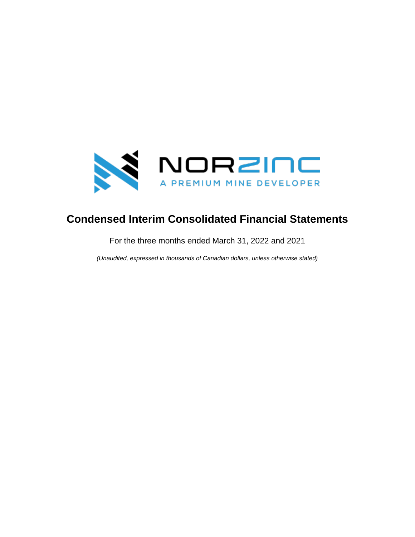

# **Condensed Interim Consolidated Financial Statements**

For the three months ended March 31, 2022 and 2021

*(Unaudited, expressed in thousands of Canadian dollars, unless otherwise stated)*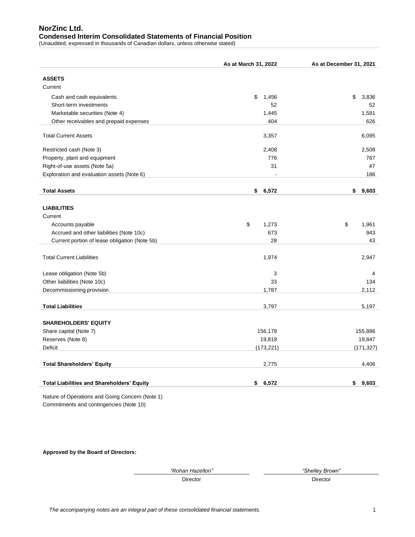# **NorZinc Ltd. Condensed Interim Consolidated Statements of Financial Position**

(Unaudited, expressed in thousands of Canadian dollars, unless otherwise stated)

|                                                     | As at March 31, 2022 | As at December 31, 2021 |
|-----------------------------------------------------|----------------------|-------------------------|
| <b>ASSETS</b>                                       |                      |                         |
| Current                                             |                      |                         |
|                                                     | \$                   | \$                      |
| Cash and cash equivalents<br>Short-term investments | 1,456<br>52          | 3,836<br>52             |
| Marketable securities (Note 4)                      | 1,445                | 1,581                   |
|                                                     | 404                  | 626                     |
| Other receivables and prepaid expenses              |                      |                         |
| <b>Total Current Assets</b>                         | 3,357                | 6,095                   |
| Restricted cash (Note 3)                            | 2,408                | 2,508                   |
| Property, plant and equipment                       | 776                  | 767                     |
| Right-of-use assets (Note 5a)                       | 31                   | 47                      |
| Exploration and evaluation assets (Note 6)          |                      | 186                     |
|                                                     |                      |                         |
| <b>Total Assets</b>                                 | \$<br>6,572          | \$<br>9,603             |
|                                                     |                      |                         |
| <b>LIABILITIES</b>                                  |                      |                         |
| Current                                             |                      |                         |
| Accounts payable                                    | \$<br>1,273          | \$<br>1,961             |
| Accrued and other liabilities (Note 10c)            | 673                  | 943                     |
| Current portion of lease obligation (Note 5b)       | 28                   | 43                      |
|                                                     |                      |                         |
| <b>Total Current Liabilities</b>                    | 1,974                | 2,947                   |
|                                                     |                      |                         |
| Lease obligation (Note 5b)                          | 3                    | 4                       |
| Other liabilities (Note 10c)                        | 33                   | 134                     |
| Decommissioning provision                           | 1,787                | 2,112                   |
|                                                     |                      |                         |
| <b>Total Liabilities</b>                            | 3,797                | 5,197                   |
|                                                     |                      |                         |
| <b>SHAREHOLDERS' EQUITY</b>                         |                      |                         |
| Share capital (Note 7)                              | 156,178              | 155,886                 |
| Reserves (Note 8)                                   | 19,818               | 19,847                  |
| Deficit                                             | (173, 221)           | (171, 327)              |
| <b>Total Shareholders' Equity</b>                   | 2,775                | 4,406                   |
|                                                     |                      |                         |
|                                                     |                      |                         |
| <b>Total Liabilities and Shareholders' Equity</b>   | \$<br>6,572          | \$<br>9,603             |
|                                                     |                      |                         |

Nature of Operations and Going Concern (Note 1) Commitments and contingencies (Note 10)

**Approved by the Board of Directors:**

*"Rohan Hazelton" "Shelley Brown"*

Director Director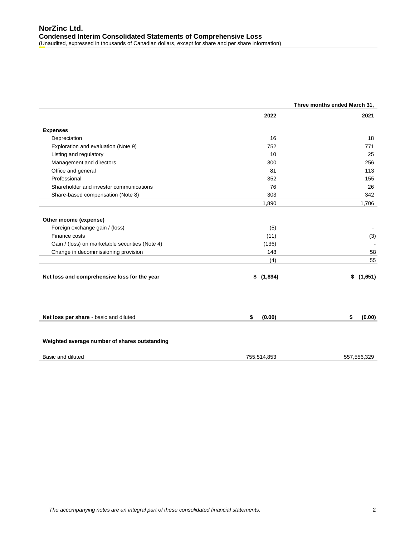|                                                 | Three months ended March 31, |              |  |  |
|-------------------------------------------------|------------------------------|--------------|--|--|
|                                                 | 2022                         | 2021         |  |  |
| <b>Expenses</b>                                 |                              |              |  |  |
| Depreciation                                    | 16                           | 18           |  |  |
| Exploration and evaluation (Note 9)             | 752                          | 771          |  |  |
| Listing and regulatory                          | 10                           | 25           |  |  |
| Management and directors                        | 300                          | 256          |  |  |
| Office and general                              | 81                           | 113          |  |  |
| Professional                                    | 352                          | 155          |  |  |
| Shareholder and investor communications         | 76                           | 26           |  |  |
| Share-based compensation (Note 8)               | 303                          | 342          |  |  |
|                                                 | 1,890                        | 1,706        |  |  |
| Other income (expense)                          |                              |              |  |  |
| Foreign exchange gain / (loss)                  | (5)                          |              |  |  |
| Finance costs                                   | (11)                         | (3)          |  |  |
| Gain / (loss) on marketable securities (Note 4) | (136)                        |              |  |  |
| Change in decommissioning provision             | 148                          | 58           |  |  |
|                                                 | (4)                          | 55           |  |  |
| Net loss and comprehensive loss for the year    | \$(1,894)                    | \$(1,651)    |  |  |
|                                                 |                              |              |  |  |
| Net loss per share - basic and diluted          | (0.00)<br>\$                 | (0.00)<br>\$ |  |  |
| Weighted average number of shares outstanding   |                              |              |  |  |
| Basic and diluted                               | 755,514,853                  | 557,556,329  |  |  |
|                                                 |                              |              |  |  |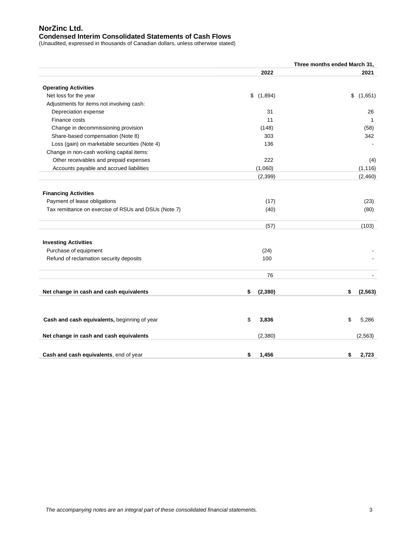# **NorZinc Ltd. Condensed Interim Consolidated Statements of Cash Flows**

(Unaudited, expressed in thousands of Canadian dollars, unless otherwise stated)

|                                                      | Three months ended March 31, |                |  |  |
|------------------------------------------------------|------------------------------|----------------|--|--|
|                                                      | 2022                         | 2021           |  |  |
| <b>Operating Activities</b>                          |                              |                |  |  |
| Net loss for the year                                | \$<br>(1,894)                | \$<br>(1,651)  |  |  |
| Adjustments for items not involving cash:            |                              |                |  |  |
| Depreciation expense                                 | 31                           | 26             |  |  |
| Finance costs                                        | 11                           | 1              |  |  |
| Change in decommissioning provision                  | (148)                        | (58)           |  |  |
| Share-based compensation (Note 8)                    | 303                          | 342            |  |  |
| Loss (gain) on marketable securities (Note 4)        | 136                          |                |  |  |
| Change in non-cash working capital items:            |                              |                |  |  |
| Other receivables and prepaid expenses               | 222                          | (4)            |  |  |
| Accounts payable and accrued liabilities             | (1,060)                      | (1, 116)       |  |  |
|                                                      | (2, 399)                     | (2,460)        |  |  |
| <b>Financing Activities</b>                          |                              |                |  |  |
| Payment of lease obligations                         | (17)                         | (23)           |  |  |
| Tax remittance on exercise of RSUs and DSUs (Note 7) | (40)                         | (80)           |  |  |
|                                                      | (57)                         | (103)          |  |  |
| <b>Investing Activities</b>                          |                              |                |  |  |
| Purchase of equipment                                | (24)                         |                |  |  |
| Refund of reclamation security deposits              | 100                          |                |  |  |
|                                                      | 76                           |                |  |  |
|                                                      |                              |                |  |  |
| Net change in cash and cash equivalents              | \$<br>(2, 380)               | \$<br>(2, 563) |  |  |
|                                                      |                              |                |  |  |
| Cash and cash equivalents, beginning of year         | \$<br>3,836                  | \$<br>5,286    |  |  |
| Net change in cash and cash equivalents              | (2,380)                      | (2, 563)       |  |  |
|                                                      |                              |                |  |  |
| Cash and cash equivalents, end of year               | \$<br>1,456                  | \$<br>2,723    |  |  |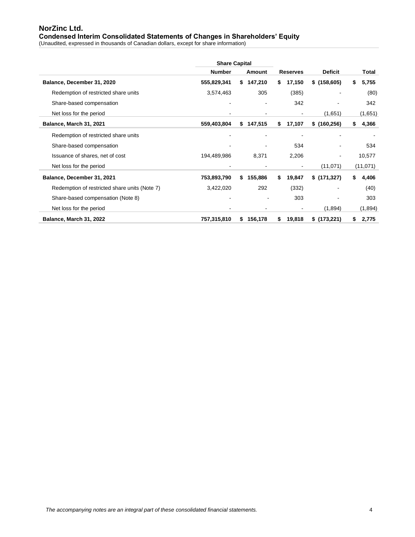# **NorZinc Ltd. Condensed Interim Consolidated Statements of Changes in Shareholders' Equity**

(Unaudited, expressed in thousands of Canadian dollars, except for share information)

|                                               |             | <b>Share Capital</b><br><b>Number</b><br>Amount |           |                 |        |                |             |
|-----------------------------------------------|-------------|-------------------------------------------------|-----------|-----------------|--------|----------------|-------------|
|                                               |             |                                                 |           | <b>Reserves</b> |        | <b>Deficit</b> | Total       |
| Balance, December 31, 2020                    | 555,829,341 | s.                                              | 147,210   | S.              | 17,150 | \$(158,605)    | \$<br>5,755 |
| Redemption of restricted share units          | 3,574,463   |                                                 | 305       |                 | (385)  |                | (80)        |
| Share-based compensation                      |             |                                                 |           |                 | 342    |                | 342         |
| Net loss for the period                       |             |                                                 |           |                 | ٠      | (1,651)        | (1,651)     |
| Balance, March 31, 2021                       | 559,403,804 |                                                 | \$147,515 | s.              | 17,107 | \$(160, 256)   | \$<br>4,366 |
| Redemption of restricted share units          |             |                                                 |           |                 |        |                |             |
| Share-based compensation                      |             |                                                 |           |                 | 534    |                | 534         |
| Issuance of shares, net of cost               | 194,489,986 |                                                 | 8,371     |                 | 2,206  |                | 10,577      |
| Net loss for the period                       |             |                                                 |           |                 | ٠      | (11, 071)      | (11, 071)   |
| Balance, December 31, 2021                    | 753,893,790 | s.                                              | 155,886   | S               | 19,847 | \$(171,327)    | \$<br>4,406 |
| Redemption of restricted share units (Note 7) | 3,422,020   |                                                 | 292       |                 | (332)  |                | (40)        |
| Share-based compensation (Note 8)             |             |                                                 |           |                 | 303    |                | 303         |
| Net loss for the period                       |             |                                                 |           |                 | -      | (1,894)        | (1,894)     |
| Balance, March 31, 2022                       | 757,315,810 | S.                                              | 156,178   | \$              | 19,818 | \$(173,221)    | \$<br>2,775 |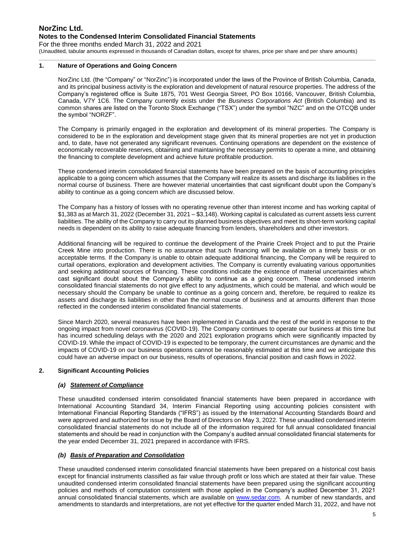# **NorZinc Ltd. Notes to the Condensed Interim Consolidated Financial Statements** For the three months ended March 31, 2022 and 2021

(Unaudited, tabular amounts expressed in thousands of Canadian dollars, except for shares, price per share and per share amounts)

#### **1. Nature of Operations and Going Concern**

NorZinc Ltd. (the "Company" or "NorZinc") is incorporated under the laws of the Province of British Columbia, Canada, and its principal business activity is the exploration and development of natural resource properties. The address of the Company's registered office is Suite 1875, 701 West Georgia Street, PO Box 10166, Vancouver, British Columbia, Canada, V7Y 1C6. The Company currently exists under the *Business Corporations Act* (British Columbia) and its common shares are listed on the Toronto Stock Exchange ("TSX") under the symbol "NZC" and on the OTCQB under the symbol "NORZF".

The Company is primarily engaged in the exploration and development of its mineral properties. The Company is considered to be in the exploration and development stage given that its mineral properties are not yet in production and, to date, have not generated any significant revenues. Continuing operations are dependent on the existence of economically recoverable reserves, obtaining and maintaining the necessary permits to operate a mine, and obtaining the financing to complete development and achieve future profitable production.

These condensed interim consolidated financial statements have been prepared on the basis of accounting principles applicable to a going concern which assumes that the Company will realize its assets and discharge its liabilities in the normal course of business. There are however material uncertainties that cast significant doubt upon the Company's ability to continue as a going concern which are discussed below.

The Company has a history of losses with no operating revenue other than interest income and has working capital of \$1,383 as at March 31, 2022 (December 31, 2021 – \$3,148). Working capital is calculated as current assets less current liabilities. The ability of the Company to carry out its planned business objectives and meet its short-term working capital needs is dependent on its ability to raise adequate financing from lenders, shareholders and other investors.

Additional financing will be required to continue the development of the Prairie Creek Project and to put the Prairie Creek Mine into production. There is no assurance that such financing will be available on a timely basis or on acceptable terms. If the Company is unable to obtain adequate additional financing, the Company will be required to curtail operations, exploration and development activities. The Company is currently evaluating various opportunities and seeking additional sources of financing. These conditions indicate the existence of material uncertainties which cast significant doubt about the Company's ability to continue as a going concern. These condensed interim consolidated financial statements do not give effect to any adjustments, which could be material, and which would be necessary should the Company be unable to continue as a going concern and, therefore, be required to realize its assets and discharge its liabilities in other than the normal course of business and at amounts different than those reflected in the condensed interim consolidated financial statements.

Since March 2020, several measures have been implemented in Canada and the rest of the world in response to the ongoing impact from novel coronavirus (COVID-19). The Company continues to operate our business at this time but has incurred scheduling delays with the 2020 and 2021 exploration programs which were significantly impacted by COVID-19. While the impact of COVID-19 is expected to be temporary, the current circumstances are dynamic and the impacts of COVID-19 on our business operations cannot be reasonably estimated at this time and we anticipate this could have an adverse impact on our business, results of operations, financial position and cash flows in 2022.

#### **2. Significant Accounting Policies**

#### *(a) Statement of Compliance*

These unaudited condensed interim consolidated financial statements have been prepared in accordance with International Accounting Standard 34, Interim Financial Reporting using accounting policies consistent with International Financial Reporting Standards ("IFRS") as issued by the International Accounting Standards Board and were approved and authorized for issue by the Board of Directors on May 3, 2022. These unaudited condensed interim consolidated financial statements do not include all of the information required for full annual consolidated financial statements and should be read in conjunction with the Company's audited annual consolidated financial statements for the year ended December 31, 2021 prepared in accordance with IFRS.

#### *(b) Basis of Preparation and Consolidation*

These unaudited condensed interim consolidated financial statements have been prepared on a historical cost basis except for financial instruments classified as fair value through profit or loss which are stated at their fair value. These unaudited condensed interim consolidated financial statements have been prepared using the significant accounting policies and methods of computation consistent with those applied in the Company's audited December 31, 2021 annual consolidated financial statements, which are available on [www.sedar.com.](http://www.sedar.com/) A number of new standards, and amendments to standards and interpretations, are not yet effective for the quarter ended March 31, 2022, and have not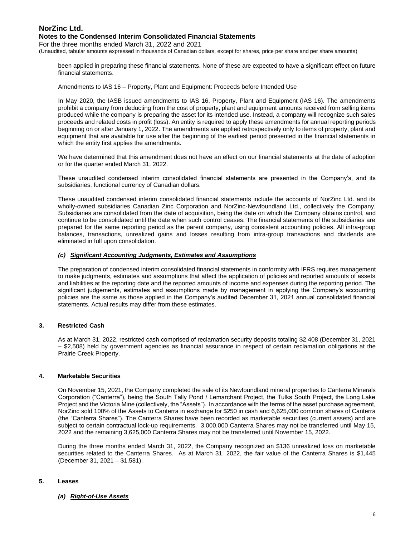#### **Notes to the Condensed Interim Consolidated Financial Statements**

For the three months ended March 31, 2022 and 2021

(Unaudited, tabular amounts expressed in thousands of Canadian dollars, except for shares, price per share and per share amounts)

been applied in preparing these financial statements. None of these are expected to have a significant effect on future financial statements.

Amendments to IAS 16 – Property, Plant and Equipment: Proceeds before Intended Use

In May 2020, the IASB issued amendments to IAS 16, Property, Plant and Equipment (IAS 16). The amendments prohibit a company from deducting from the cost of property, plant and equipment amounts received from selling items produced while the company is preparing the asset for its intended use. Instead, a company will recognize such sales proceeds and related costs in profit (loss). An entity is required to apply these amendments for annual reporting periods beginning on or after January 1, 2022. The amendments are applied retrospectively only to items of property, plant and equipment that are available for use after the beginning of the earliest period presented in the financial statements in which the entity first applies the amendments.

We have determined that this amendment does not have an effect on our financial statements at the date of adoption or for the quarter ended March 31, 2022.

These unaudited condensed interim consolidated financial statements are presented in the Company's, and its subsidiaries, functional currency of Canadian dollars.

These unaudited condensed interim consolidated financial statements include the accounts of NorZinc Ltd. and its wholly-owned subsidiaries Canadian Zinc Corporation and NorZinc-Newfoundland Ltd., collectively the Company. Subsidiaries are consolidated from the date of acquisition, being the date on which the Company obtains control, and continue to be consolidated until the date when such control ceases. The financial statements of the subsidiaries are prepared for the same reporting period as the parent company, using consistent accounting policies. All intra-group balances, transactions, unrealized gains and losses resulting from intra-group transactions and dividends are eliminated in full upon consolidation.

#### *(c) Significant Accounting Judgments, Estimates and Assumptions*

The preparation of condensed interim consolidated financial statements in conformity with IFRS requires management to make judgments, estimates and assumptions that affect the application of policies and reported amounts of assets and liabilities at the reporting date and the reported amounts of income and expenses during the reporting period. The significant judgements, estimates and assumptions made by management in applying the Company's accounting policies are the same as those applied in the Company's audited December 31, 2021 annual consolidated financial statements. Actual results may differ from these estimates.

### **3. Restricted Cash**

As at March 31, 2022, restricted cash comprised of reclamation security deposits totaling \$2,408 (December 31, 2021 – \$2,508) held by government agencies as financial assurance in respect of certain reclamation obligations at the Prairie Creek Property.

### **4. Marketable Securities**

On November 15, 2021, the Company completed the sale of its Newfoundland mineral properties to Canterra Minerals Corporation ("Canterra"), being the South Tally Pond / Lemarchant Project, the Tulks South Project, the Long Lake Project and the Victoria Mine (collectively, the "Assets"). In accordance with the terms of the asset purchase agreement, NorZinc sold 100% of the Assets to Canterra in exchange for \$250 in cash and 6,625,000 common shares of Canterra (the "Canterra Shares"). The Canterra Shares have been recorded as marketable securities (current assets) and are subject to certain contractual lock-up requirements. 3,000,000 Canterra Shares may not be transferred until May 15, 2022 and the remaining 3,625,000 Canterra Shares may not be transferred until November 15, 2022.

During the three months ended March 31, 2022, the Company recognized an \$136 unrealized loss on marketable securities related to the Canterra Shares. As at March 31, 2022, the fair value of the Canterra Shares is \$1,445 (December 31, 2021 – \$1,581).

#### **5. Leases**

# *(a) Right-of-Use Assets*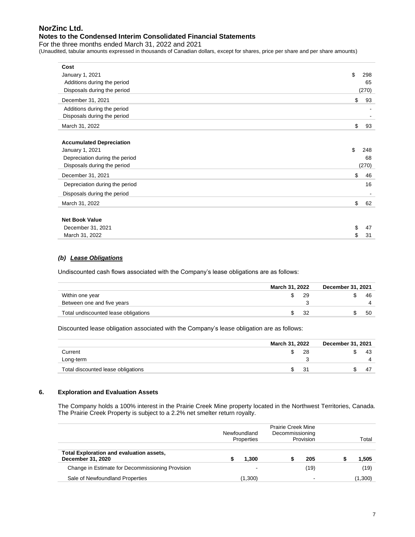## **Notes to the Condensed Interim Consolidated Financial Statements**

For the three months ended March 31, 2022 and 2021

(Unaudited, tabular amounts expressed in thousands of Canadian dollars, except for shares, price per share and per share amounts)

| Cost                            |           |
|---------------------------------|-----------|
| January 1, 2021                 | \$<br>298 |
| Additions during the period     | 65        |
| Disposals during the period     | (270)     |
| December 31, 2021               | \$<br>93  |
| Additions during the period     |           |
| Disposals during the period     |           |
| March 31, 2022                  | \$<br>93  |
| <b>Accumulated Depreciation</b> |           |
| January 1, 2021                 | \$<br>248 |
| Depreciation during the period  | 68        |
| Disposals during the period     | (270)     |
| December 31, 2021               | \$<br>46  |
| Depreciation during the period  | 16        |
| Disposals during the period     |           |
| March 31, 2022                  | \$<br>62  |
| <b>Net Book Value</b>           |           |
| December 31, 2021               | \$<br>47  |
| March 31, 2022                  | \$<br>31  |

## *(b) Lease Obligations*

Undiscounted cash flows associated with the Company's lease obligations are as follows:

|                                      | March 31, 2022<br>December 31, 2021 |  |    |  |  |  |  |
|--------------------------------------|-------------------------------------|--|----|--|--|--|--|
| Within one year                      | 29                                  |  | 46 |  |  |  |  |
| Between one and five years           |                                     |  |    |  |  |  |  |
| Total undiscounted lease obligations | 32                                  |  | 50 |  |  |  |  |

Discounted lease obligation associated with the Company's lease obligation are as follows:

|                                    | March 31, 2022 | December 31, 2021 |  |    |
|------------------------------------|----------------|-------------------|--|----|
| Current                            |                | 28                |  | 43 |
| Long-term                          |                |                   |  |    |
| Total discounted lease obligations | 31             |                   |  | 4, |

## **6. Exploration and Evaluation Assets**

The Company holds a 100% interest in the Prairie Creek Mine property located in the Northwest Territories, Canada. The Prairie Creek Property is subject to a 2.2% net smelter return royalty.

|                                                               | Newfoundland<br>Properties | <b>Prairie Creek Mine</b><br>Decommissioning | Provision                | Total   |
|---------------------------------------------------------------|----------------------------|----------------------------------------------|--------------------------|---------|
| Total Exploration and evaluation assets,<br>December 31, 2020 | 1.300                      |                                              | 205                      | 1,505   |
| Change in Estimate for Decommissioning Provision              |                            |                                              | (19)                     | (19)    |
| Sale of Newfoundland Properties                               | (1,300)                    |                                              | $\overline{\phantom{0}}$ | (1,300) |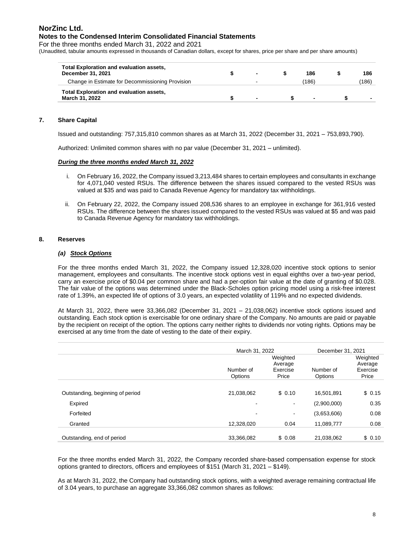# **NorZinc Ltd. Notes to the Condensed Interim Consolidated Financial Statements**

For the three months ended March 31, 2022 and 2021

(Unaudited, tabular amounts expressed in thousands of Canadian dollars, except for shares, price per share and per share amounts)

| <b>Total Exploration and evaluation assets,</b><br>December 31, 2021 | $\overline{\phantom{0}}$ | 186                      | 186   |
|----------------------------------------------------------------------|--------------------------|--------------------------|-------|
| Change in Estimate for Decommissioning Provision                     | ۰                        | (186)                    | (186) |
| <b>Total Exploration and evaluation assets,</b><br>March 31, 2022    |                          | $\overline{\phantom{0}}$ |       |

## **7. Share Capital**

Issued and outstanding: 757,315,810 common shares as at March 31, 2022 (December 31, 2021 – 753,893,790).

Authorized: Unlimited common shares with no par value (December 31, 2021 – unlimited).

#### *During the three months ended March 31, 2022*

- i. On February 16, 2022, the Company issued 3,213,484 shares to certain employees and consultants in exchange for 4,071,040 vested RSUs. The difference between the shares issued compared to the vested RSUs was valued at \$35 and was paid to Canada Revenue Agency for mandatory tax withholdings.
- ii. On February 22, 2022, the Company issued 208,536 shares to an employee in exchange for 361,916 vested RSUs. The difference between the shares issued compared to the vested RSUs was valued at \$5 and was paid to Canada Revenue Agency for mandatory tax withholdings.

## **8. Reserves**

## *(a) Stock Options*

For the three months ended March 31, 2022, the Company issued 12,328,020 incentive stock options to senior management, employees and consultants. The incentive stock options vest in equal eighths over a two-year period, carry an exercise price of \$0.04 per common share and had a per-option fair value at the date of granting of \$0.028. The fair value of the options was determined under the Black-Scholes option pricing model using a risk-free interest rate of 1.39%, an expected life of options of 3.0 years, an expected volatility of 119% and no expected dividends.

At March 31, 2022, there were 33,366,082 (December 31, 2021 – 21,038,062) incentive stock options issued and outstanding. Each stock option is exercisable for one ordinary share of the Company. No amounts are paid or payable by the recipient on receipt of the option. The options carry neither rights to dividends nor voting rights. Options may be exercised at any time from the date of vesting to the date of their expiry.

|                                  | March 31, 2022       | December 31, 2021                        |                      |                                          |
|----------------------------------|----------------------|------------------------------------------|----------------------|------------------------------------------|
|                                  | Number of<br>Options | Weighted<br>Average<br>Exercise<br>Price | Number of<br>Options | Weighted<br>Average<br>Exercise<br>Price |
|                                  |                      |                                          |                      |                                          |
| Outstanding, beginning of period | 21,038,062           | \$0.10                                   | 16.501.891           | \$0.15                                   |
| Expired                          | ٠                    | ۰                                        | (2,900,000)          | 0.35                                     |
| Forfeited                        | $\blacksquare$       | $\overline{\phantom{a}}$                 | (3,653,606)          | 0.08                                     |
| Granted                          | 12,328,020           | 0.04                                     | 11,089,777           | 0.08                                     |
| Outstanding, end of period       | 33,366,082           | \$0.08                                   | 21,038,062           | \$0.10                                   |

For the three months ended March 31, 2022, the Company recorded share-based compensation expense for stock options granted to directors, officers and employees of \$151 (March 31, 2021 – \$149).

As at March 31, 2022, the Company had outstanding stock options, with a weighted average remaining contractual life of 3.04 years, to purchase an aggregate 33,366,082 common shares as follows: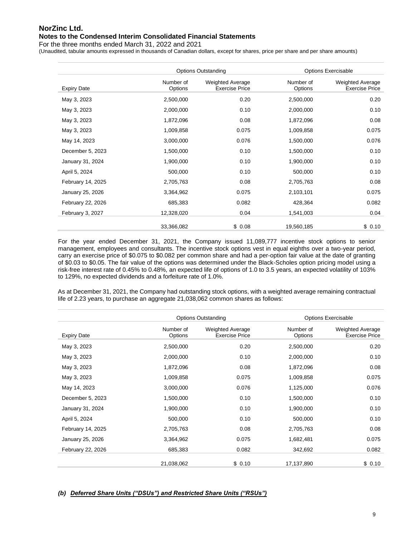## **Notes to the Condensed Interim Consolidated Financial Statements**

For the three months ended March 31, 2022 and 2021

(Unaudited, tabular amounts expressed in thousands of Canadian dollars, except for shares, price per share and per share amounts)

|                    | <b>Options Outstanding</b> |                                                  |                      | <b>Options Exercisable</b>                |
|--------------------|----------------------------|--------------------------------------------------|----------------------|-------------------------------------------|
| <b>Expiry Date</b> | Number of<br>Options       | <b>Weighted Average</b><br><b>Exercise Price</b> | Number of<br>Options | Weighted Average<br><b>Exercise Price</b> |
| May 3, 2023        | 2,500,000                  | 0.20                                             | 2,500,000            | 0.20                                      |
| May 3, 2023        | 2,000,000                  | 0.10                                             | 2,000,000            | 0.10                                      |
| May 3, 2023        | 1,872,096                  | 0.08                                             | 1,872,096            | 0.08                                      |
| May 3, 2023        | 1,009,858                  | 0.075                                            | 1,009,858            | 0.075                                     |
| May 14, 2023       | 3,000,000                  | 0.076                                            | 1,500,000            | 0.076                                     |
| December 5, 2023   | 1,500,000                  | 0.10                                             | 1,500,000            | 0.10                                      |
| January 31, 2024   | 1,900,000                  | 0.10                                             | 1,900,000            | 0.10                                      |
| April 5, 2024      | 500,000                    | 0.10                                             | 500,000              | 0.10                                      |
| February 14, 2025  | 2,705,763                  | 0.08                                             | 2,705,763            | 0.08                                      |
| January 25, 2026   | 3,364,962                  | 0.075                                            | 2,103,101            | 0.075                                     |
| February 22, 2026  | 685,383                    | 0.082                                            | 428,364              | 0.082                                     |
| February 3, 2027   | 12,328,020                 | 0.04                                             | 1,541,003            | 0.04                                      |
|                    | 33,366,082                 | \$0.08                                           | 19,560,185           | \$0.10                                    |

For the year ended December 31, 2021, the Company issued 11,089,777 incentive stock options to senior management, employees and consultants. The incentive stock options vest in equal eighths over a two-year period, carry an exercise price of \$0.075 to \$0.082 per common share and had a per-option fair value at the date of granting of \$0.03 to \$0.05. The fair value of the options was determined under the Black-Scholes option pricing model using a risk-free interest rate of 0.45% to 0.48%, an expected life of options of 1.0 to 3.5 years, an expected volatility of 103% to 129%, no expected dividends and a forfeiture rate of 1.0%.

As at December 31, 2021, the Company had outstanding stock options, with a weighted average remaining contractual life of 2.23 years, to purchase an aggregate 21,038,062 common shares as follows:

|                    |                      | <b>Options Outstanding</b>                       |                      | <b>Options Exercisable</b>                |
|--------------------|----------------------|--------------------------------------------------|----------------------|-------------------------------------------|
| <b>Expiry Date</b> | Number of<br>Options | <b>Weighted Average</b><br><b>Exercise Price</b> | Number of<br>Options | Weighted Average<br><b>Exercise Price</b> |
| May 3, 2023        | 2,500,000            | 0.20                                             | 2,500,000            | 0.20                                      |
| May 3, 2023        | 2,000,000            | 0.10                                             | 2,000,000            | 0.10                                      |
| May 3, 2023        | 1,872,096            | 0.08                                             | 1,872,096            | 0.08                                      |
| May 3, 2023        | 1,009,858            | 0.075                                            | 1,009,858            | 0.075                                     |
| May 14, 2023       | 3,000,000            | 0.076                                            | 1,125,000            | 0.076                                     |
| December 5, 2023   | 1,500,000            | 0.10                                             | 1,500,000            | 0.10                                      |
| January 31, 2024   | 1,900,000            | 0.10                                             | 1,900,000            | 0.10                                      |
| April 5, 2024      | 500,000              | 0.10                                             | 500,000              | 0.10                                      |
| February 14, 2025  | 2,705,763            | 0.08                                             | 2,705,763            | 0.08                                      |
| January 25, 2026   | 3,364,962            | 0.075                                            | 1,682,481            | 0.075                                     |
| February 22, 2026  | 685,383              | 0.082                                            | 342,692              | 0.082                                     |
|                    | 21,038,062           | \$0.10                                           | 17,137,890           | \$0.10                                    |

## *(b) Deferred Share Units ("DSUs") and Restricted Share Units ("RSUs")*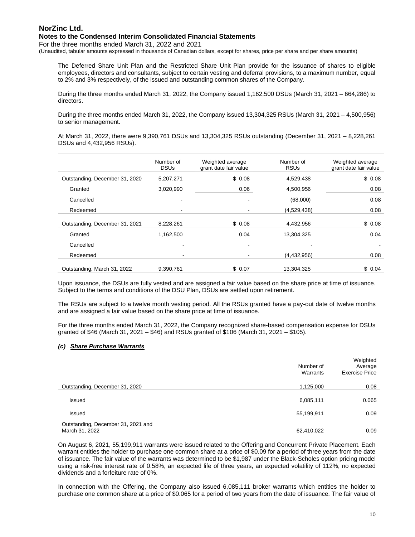## **Notes to the Condensed Interim Consolidated Financial Statements**

For the three months ended March 31, 2022 and 2021

(Unaudited, tabular amounts expressed in thousands of Canadian dollars, except for shares, price per share and per share amounts)

The Deferred Share Unit Plan and the Restricted Share Unit Plan provide for the issuance of shares to eligible employees, directors and consultants, subject to certain vesting and deferral provisions, to a maximum number, equal to 2% and 3% respectively, of the issued and outstanding common shares of the Company.

During the three months ended March 31, 2022, the Company issued 1,162,500 DSUs (March 31, 2021 – 664,286) to directors.

During the three months ended March 31, 2022, the Company issued 13,304,325 RSUs (March 31, 2021 – 4,500,956) to senior management.

At March 31, 2022, there were 9,390,761 DSUs and 13,304,325 RSUs outstanding (December 31, 2021 – 8,228,261 DSUs and 4,432,956 RSUs).

|                                | Number of<br><b>DSUs</b> | Weighted average<br>grant date fair value | Number of<br><b>RSUs</b> | Weighted average<br>grant date fair value |
|--------------------------------|--------------------------|-------------------------------------------|--------------------------|-------------------------------------------|
| Outstanding, December 31, 2020 | 5,207,271                | \$0.08                                    | 4,529,438                | \$0.08                                    |
| Granted                        | 3,020,990                | 0.06                                      | 4,500,956                | 0.08                                      |
| Cancelled                      | ٠                        |                                           | (68,000)                 | 0.08                                      |
| Redeemed                       | ٠                        |                                           | (4,529,438)              | 0.08                                      |
| Outstanding, December 31, 2021 | 8,228,261                | \$0.08                                    | 4,432,956                | \$0.08                                    |
| Granted                        | 1,162,500                | 0.04                                      | 13,304,325               | 0.04                                      |
| Cancelled                      |                          |                                           |                          |                                           |
| Redeemed                       |                          |                                           | (4,432,956)              | 0.08                                      |
| Outstanding, March 31, 2022    | 9.390.761                | \$0.07                                    | 13.304.325               | \$0.04                                    |

Upon issuance, the DSUs are fully vested and are assigned a fair value based on the share price at time of issuance. Subject to the terms and conditions of the DSU Plan, DSUs are settled upon retirement.

The RSUs are subject to a twelve month vesting period. All the RSUs granted have a pay-out date of twelve months and are assigned a fair value based on the share price at time of issuance.

For the three months ended March 31, 2022, the Company recognized share-based compensation expense for DSUs granted of \$46 (March 31, 2021 – \$46) and RSUs granted of \$106 (March 31, 2021 – \$105).

# *(c) Share Purchase Warrants*

|                                                      | Number of<br>Warrants | Weighted<br>Average<br><b>Exercise Price</b> |
|------------------------------------------------------|-----------------------|----------------------------------------------|
| Outstanding, December 31, 2020                       | 1,125,000             | 0.08                                         |
| Issued                                               | 6,085,111             | 0.065                                        |
| Issued                                               | 55,199,911            | 0.09                                         |
| Outstanding, December 31, 2021 and<br>March 31, 2022 | 62,410,022            | 0.09                                         |

On August 6, 2021, 55,199,911 warrants were issued related to the Offering and Concurrent Private Placement. Each warrant entitles the holder to purchase one common share at a price of \$0.09 for a period of three years from the date of issuance. The fair value of the warrants was determined to be \$1,987 under the Black-Scholes option pricing model using a risk-free interest rate of 0.58%, an expected life of three years, an expected volatility of 112%, no expected dividends and a forfeiture rate of 0%.

In connection with the Offering, the Company also issued 6,085,111 broker warrants which entitles the holder to purchase one common share at a price of \$0.065 for a period of two years from the date of issuance. The fair value of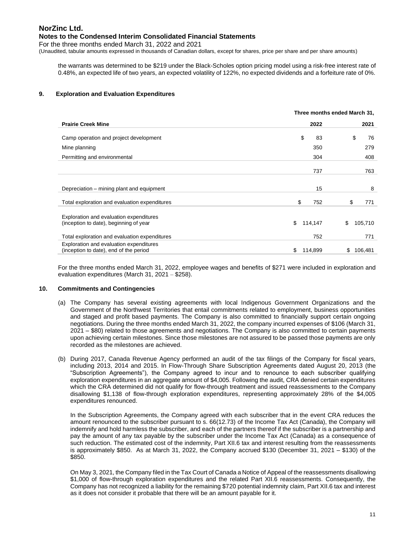## **Notes to the Condensed Interim Consolidated Financial Statements**

For the three months ended March 31, 2022 and 2021

(Unaudited, tabular amounts expressed in thousands of Canadian dollars, except for shares, price per share and per share amounts)

the warrants was determined to be \$219 under the Black-Scholes option pricing model using a risk-free interest rate of 0.48%, an expected life of two years, an expected volatility of 122%, no expected dividends and a forfeiture rate of 0%.

## **9. Exploration and Evaluation Expenditures**

|                                                                                   | Three months ended March 31, |               |  |
|-----------------------------------------------------------------------------------|------------------------------|---------------|--|
| <b>Prairie Creek Mine</b>                                                         | 2022                         | 2021          |  |
| Camp operation and project development                                            | \$<br>83                     | \$<br>76      |  |
| Mine planning                                                                     | 350                          | 279           |  |
| Permitting and environmental                                                      | 304                          | 408           |  |
|                                                                                   | 737                          | 763           |  |
| Depreciation – mining plant and equipment                                         | 15                           | 8             |  |
| Total exploration and evaluation expenditures                                     | \$<br>752                    | \$<br>771     |  |
| Exploration and evaluation expenditures<br>(inception to date), beginning of year | \$<br>114,147                | \$<br>105,710 |  |
| Total exploration and evaluation expenditures                                     | 752                          | 771           |  |
| Exploration and evaluation expenditures<br>(inception to date), end of the period | \$<br>114,899                | 106,481<br>\$ |  |

For the three months ended March 31, 2022, employee wages and benefits of \$271 were included in exploration and evaluation expenditures (March 31, 2021 – \$258).

#### **10. Commitments and Contingencies**

- (a) The Company has several existing agreements with local Indigenous Government Organizations and the Government of the Northwest Territories that entail commitments related to employment, business opportunities and staged and profit based payments. The Company is also committed to financially support certain ongoing negotiations. During the three months ended March 31, 2022, the company incurred expenses of \$106 (March 31, 2021 – \$80) related to those agreements and negotiations. The Company is also committed to certain payments upon achieving certain milestones. Since those milestones are not assured to be passed those payments are only recorded as the milestones are achieved.
- (b) During 2017, Canada Revenue Agency performed an audit of the tax filings of the Company for fiscal years, including 2013, 2014 and 2015. In Flow-Through Share Subscription Agreements dated August 20, 2013 (the "Subscription Agreements"), the Company agreed to incur and to renounce to each subscriber qualifying exploration expenditures in an aggregate amount of \$4,005. Following the audit, CRA denied certain expenditures which the CRA determined did not qualify for flow-through treatment and issued reassessments to the Company disallowing \$1,138 of flow-through exploration expenditures, representing approximately 28% of the \$4,005 expenditures renounced.

In the Subscription Agreements, the Company agreed with each subscriber that in the event CRA reduces the amount renounced to the subscriber pursuant to s. 66(12.73) of the Income Tax Act (Canada), the Company will indemnify and hold harmless the subscriber, and each of the partners thereof if the subscriber is a partnership and pay the amount of any tax payable by the subscriber under the Income Tax Act (Canada) as a consequence of such reduction. The estimated cost of the indemnity, Part XII.6 tax and interest resulting from the reassessments is approximately \$850. As at March 31, 2022, the Company accrued \$130 (December 31, 2021 – \$130) of the \$850.

On May 3, 2021, the Company filed in the Tax Court of Canada a Notice of Appeal of the reassessments disallowing \$1,000 of flow-through exploration expenditures and the related Part XII.6 reassessments. Consequently, the Company has not recognized a liability for the remaining \$720 potential indemnity claim, Part XII.6 tax and interest as it does not consider it probable that there will be an amount payable for it.